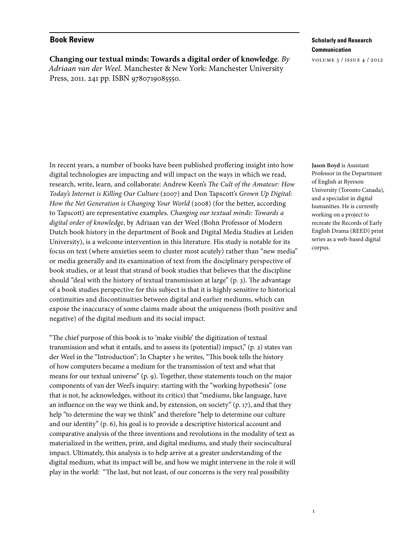## **Book Review**

**Changing our textual minds: Towards a digital order of knowledge**. *By Adriaan van der Weel.* Manchester & New York: Manchester University Press, 2011. 241 pp. ISBN 9780719085550.

## **Scholarly and Research Communication**

volume 3 / issue 4 / 2012

In recent years, a number of books have been published proffering insight into how digital technologies are impacting and will impact on the ways in which we read, research, write, learn, and collaborate: Andrew Keen's *The Cult of the Amateur: How Today's Internet is Killing Our Culture* (2007) and Don Tapscott's *Grown Up Digital: How the Net Generation is Changing Your World* (2008) (for the better, according to Tapscott) are representative examples. *Changing our textual minds: Towards a digital order of knowledge*, by Adriaan van der Weel (Bohn Professor of Modern Dutch book history in the department of Book and Digital Media Studies at Leiden University), is a welcome intervention in this literature. His study is notable for its focus on text (where anxieties seem to cluster most acutely) rather than "new media" or media generally and its examination of text from the disciplinary perspective of book studies, or at least that strand of book studies that believes that the discipline should "deal with the history of textual transmission at large" (p. 3). The advantage of a book studies perspective for this subject is that it is highly sensitive to historical continuities and discontinuities between digital and earlier mediums, which can expose the inaccuracy of some claims made about the uniqueness (both positive and negative) of the digital medium and its social impact.

"The chief purpose of this book is to 'make visible' the digitization of textual transmission and what it entails, and to assess its (potential) impact," (p. 2) states van der Weel in the "Introduction"; In Chapter 1 he writes, "This book tells the history of how computers became a medium for the transmission of text and what that means for our textual universe" (p. 9). Together, these statements touch on the major components of van der Weel's inquiry: starting with the "working hypothesis" (one that is not, he acknowledges, without its critics) that "mediums, like language, have an influence on the way we think and, by extension, on society" (p. 17), and that they help "to determine the way we think" and therefore "help to determine our culture and our identity" (p. 6), his goal is to provide a descriptive historical account and comparative analysis of the three inventions and revolutions in the modality of text as materialized in the written, print, and digital mediums, and study their sociocultural impact. Ultimately, this analysis is to help arrive at a greater understanding of the digital medium, what its impact will be, and how we might intervene in the role it will play in the world: "The last, but not least, of our concerns is the very real possibility

**Jason Boyd** is Assistant Professor in the Department of English at Ryerson University (Toronto Canada), and a specialist in digital humanities. He is currently working on a project to recreate the Records of Early English Drama (REED) print series as a web-based digital corpus.

1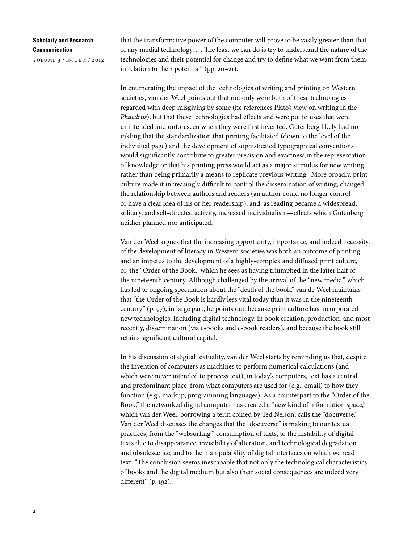## **Scholarly and Research Communication**

volume 3 / issue 4 / 2012

that the transformative power of the computer will prove to be vastly greater than that of any medial technology. … The least we can do is try to understand the nature of the technologies and their potential for change and try to define what we want from them, in relation to their potential" (pp. 20–21).

In enumerating the impact of the technologies of writing and printing on Western societies, van der Weel points out that not only were both of these technologies regarded with deep misgiving by some (he references Plato's view on writing in the *Phaedrus*), but that these technologies had effects and were put to uses that were unintended and unforeseen when they were first invented. Gutenberg likely had no inkling that the standardization that printing facilitated (down to the level of the individual page) and the development of sophisticated typographical conventions would significantly contribute to greater precision and exactness in the representation of knowledge or that his printing press would act as a major stimulus for new writing rather than being primarily a means to replicate previous writing. More broadly, print culture made it increasingly difficult to control the dissemination of writing, changed the relationship between authors and readers (an author could no longer control or have a clear idea of his or her readership), and, as reading became a widespread, solitary, and self-directed activity, increased individualism—effects which Gutenberg neither planned nor anticipated.

Van der Weel argues that the increasing opportunity, importance, and indeed necessity, of the development of literacy in Western societies was both an outcome of printing and an impetus to the development of a highly-complex and diffused print culture, or, the "Order of the Book," which he sees as having triumphed in the latter half of the nineteenth century. Although challenged by the arrival of the "new media," which has led to ongoing speculation about the "death of the book," van de Weel maintains that "the Order of the Book is hardly less vital today than it was in the nineteenth century" (p. 97), in large part, he points out, because print culture has incorporated new technologies, including digital technology, in book creation, production, and most recently, dissemination (via e-books and e-book readers), and because the book still retains significant cultural capital.

In his discussion of digital textuality, van der Weel starts by reminding us that, despite the invention of computers as machines to perform numerical calculations (and which were never intended to process text), in today's computers, text has a central and predominant place, from what computers are used for (e.g., email) to how they function (e.g., markup, programming languages). As a counterpart to the "Order of the Book," the networked digital computer has created a "new kind of information space," which van der Weel, borrowing a term coined by Ted Nelson, calls the "docuverse." Van der Weel discusses the changes that the "docuverse" is making to our textual practices, from the "websurfing'" consumption of texts, to the instability of digital texts due to disappearance, invisibility of alteration, and technological degradation and obsolescence, and to the manipulability of digital interfaces on which we read text: "The conclusion seems inescapable that not only the technological characteristics of books and the digital medium but also their social consequences are indeed very different" (p. 192).